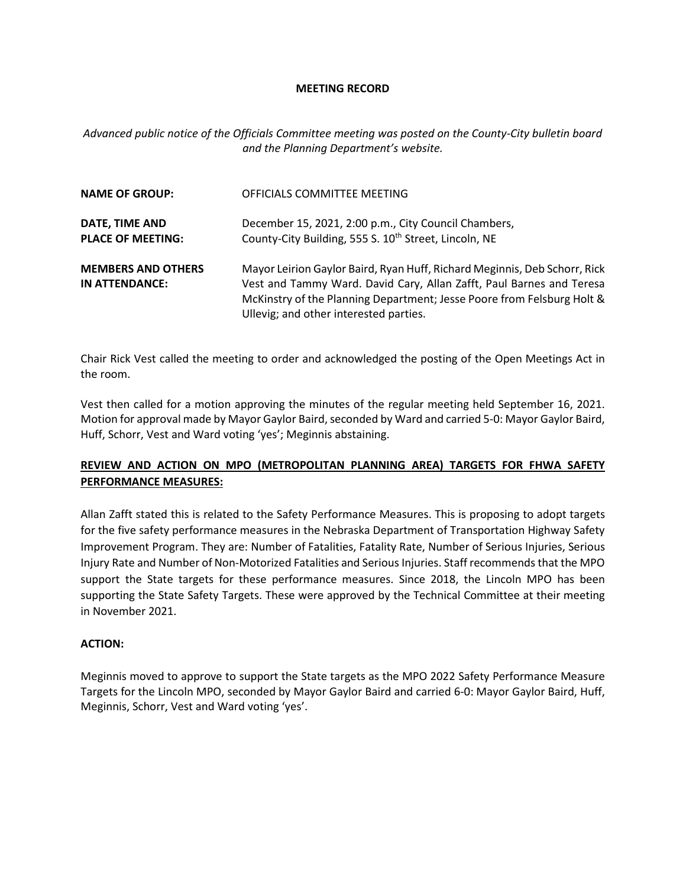#### **MEETING RECORD**

*Advanced public notice of the Officials Committee meeting was posted on the County-City bulletin board and the Planning Department's website.*

| <b>NAME OF GROUP:</b>                       | OFFICIALS COMMITTEE MEETING                                                                                                                                                                                                                                           |
|---------------------------------------------|-----------------------------------------------------------------------------------------------------------------------------------------------------------------------------------------------------------------------------------------------------------------------|
| DATE, TIME AND<br><b>PLACE OF MEETING:</b>  | December 15, 2021, 2:00 p.m., City Council Chambers,<br>County-City Building, 555 S. 10 <sup>th</sup> Street, Lincoln, NE                                                                                                                                             |
| <b>MEMBERS AND OTHERS</b><br>IN ATTENDANCE: | Mayor Leirion Gaylor Baird, Ryan Huff, Richard Meginnis, Deb Schorr, Rick<br>Vest and Tammy Ward. David Cary, Allan Zafft, Paul Barnes and Teresa<br>McKinstry of the Planning Department; Jesse Poore from Felsburg Holt &<br>Ullevig; and other interested parties. |

Chair Rick Vest called the meeting to order and acknowledged the posting of the Open Meetings Act in the room.

Vest then called for a motion approving the minutes of the regular meeting held September 16, 2021. Motion for approval made by Mayor Gaylor Baird, seconded by Ward and carried 5-0: Mayor Gaylor Baird, Huff, Schorr, Vest and Ward voting 'yes'; Meginnis abstaining.

# **REVIEW AND ACTION ON MPO (METROPOLITAN PLANNING AREA) TARGETS FOR FHWA SAFETY PERFORMANCE MEASURES:**

Allan Zafft stated this is related to the Safety Performance Measures. This is proposing to adopt targets for the five safety performance measures in the Nebraska Department of Transportation Highway Safety Improvement Program. They are: Number of Fatalities, Fatality Rate, Number of Serious Injuries, Serious Injury Rate and Number of Non-Motorized Fatalities and Serious Injuries. Staff recommends that the MPO support the State targets for these performance measures. Since 2018, the Lincoln MPO has been supporting the State Safety Targets. These were approved by the Technical Committee at their meeting in November 2021.

#### **ACTION:**

Meginnis moved to approve to support the State targets as the MPO 2022 Safety Performance Measure Targets for the Lincoln MPO, seconded by Mayor Gaylor Baird and carried 6-0: Mayor Gaylor Baird, Huff, Meginnis, Schorr, Vest and Ward voting 'yes'.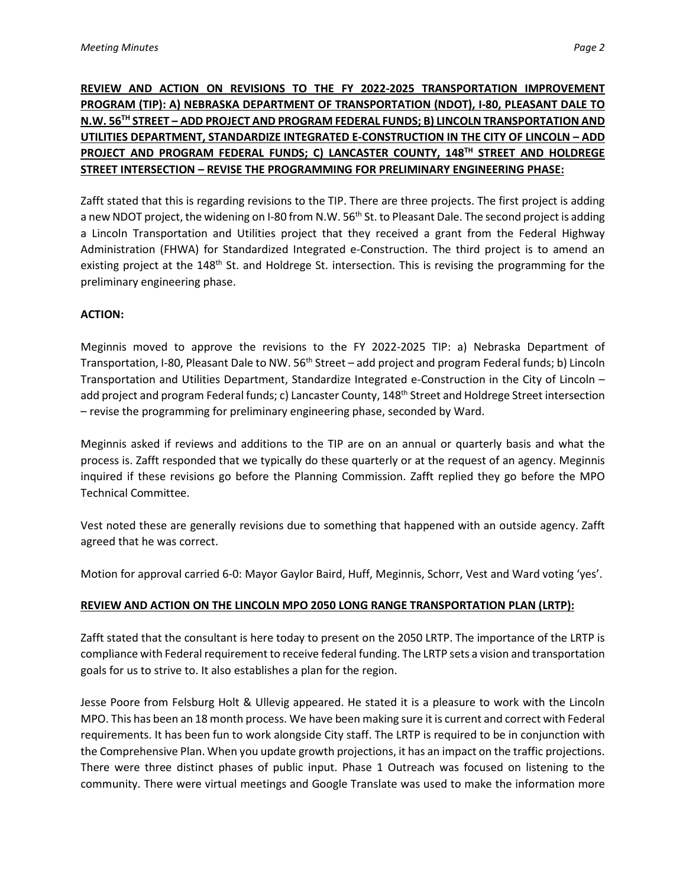# **REVIEW AND ACTION ON REVISIONS TO THE FY 2022-2025 TRANSPORTATION IMPROVEMENT PROGRAM (TIP): A) NEBRASKA DEPARTMENT OF TRANSPORTATION (NDOT), I-80, PLEASANT DALE TO N.W. 56TH STREET – ADD PROJECT AND PROGRAM FEDERAL FUNDS; B) LINCOLN TRANSPORTATION AND UTILITIES DEPARTMENT, STANDARDIZE INTEGRATED E-CONSTRUCTION IN THE CITY OF LINCOLN – ADD PROJECT AND PROGRAM FEDERAL FUNDS; C) LANCASTER COUNTY, 148TH STREET AND HOLDREGE STREET INTERSECTION – REVISE THE PROGRAMMING FOR PRELIMINARY ENGINEERING PHASE:**

Zafft stated that this is regarding revisions to the TIP. There are three projects. The first project is adding a new NDOT project, the widening on I-80 from N.W. 56<sup>th</sup> St. to Pleasant Dale. The second project is adding a Lincoln Transportation and Utilities project that they received a grant from the Federal Highway Administration (FHWA) for Standardized Integrated e-Construction. The third project is to amend an existing project at the 148<sup>th</sup> St. and Holdrege St. intersection. This is revising the programming for the preliminary engineering phase.

### **ACTION:**

Meginnis moved to approve the revisions to the FY 2022-2025 TIP: a) Nebraska Department of Transportation, I-80, Pleasant Dale to NW. 56<sup>th</sup> Street – add project and program Federal funds; b) Lincoln Transportation and Utilities Department, Standardize Integrated e-Construction in the City of Lincoln – add project and program Federal funds; c) Lancaster County, 148<sup>th</sup> Street and Holdrege Street intersection – revise the programming for preliminary engineering phase, seconded by Ward.

Meginnis asked if reviews and additions to the TIP are on an annual or quarterly basis and what the process is. Zafft responded that we typically do these quarterly or at the request of an agency. Meginnis inquired if these revisions go before the Planning Commission. Zafft replied they go before the MPO Technical Committee.

Vest noted these are generally revisions due to something that happened with an outside agency. Zafft agreed that he was correct.

Motion for approval carried 6-0: Mayor Gaylor Baird, Huff, Meginnis, Schorr, Vest and Ward voting 'yes'.

# **REVIEW AND ACTION ON THE LINCOLN MPO 2050 LONG RANGE TRANSPORTATION PLAN (LRTP):**

Zafft stated that the consultant is here today to present on the 2050 LRTP. The importance of the LRTP is compliance with Federal requirement to receive federal funding. The LRTP sets a vision and transportation goals for us to strive to. It also establishes a plan for the region.

Jesse Poore from Felsburg Holt & Ullevig appeared. He stated it is a pleasure to work with the Lincoln MPO. This has been an 18 month process. We have been making sure it is current and correct with Federal requirements. It has been fun to work alongside City staff. The LRTP is required to be in conjunction with the Comprehensive Plan. When you update growth projections, it has an impact on the traffic projections. There were three distinct phases of public input. Phase 1 Outreach was focused on listening to the community. There were virtual meetings and Google Translate was used to make the information more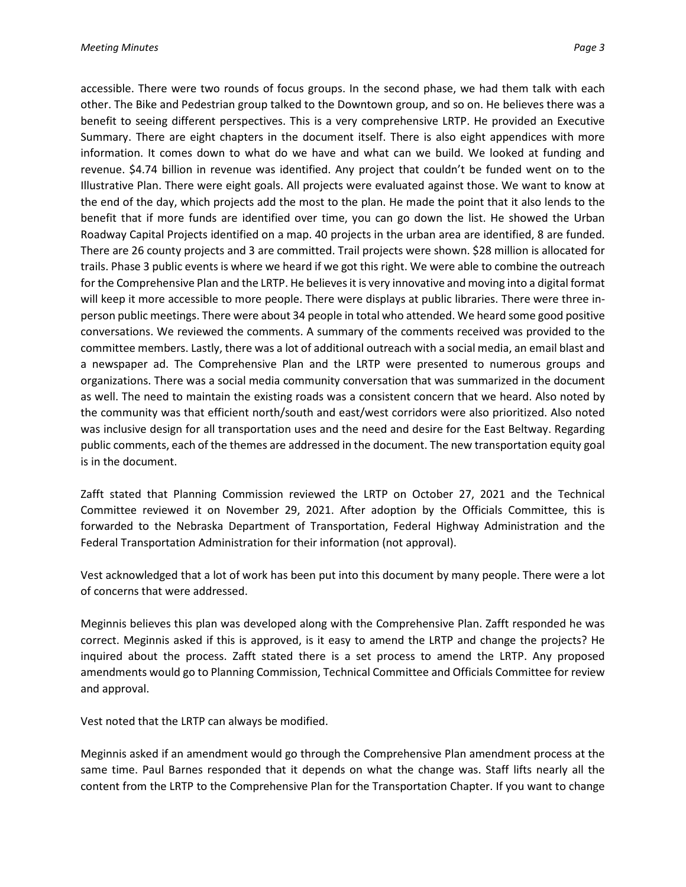accessible. There were two rounds of focus groups. In the second phase, we had them talk with each other. The Bike and Pedestrian group talked to the Downtown group, and so on. He believes there was a benefit to seeing different perspectives. This is a very comprehensive LRTP. He provided an Executive Summary. There are eight chapters in the document itself. There is also eight appendices with more information. It comes down to what do we have and what can we build. We looked at funding and revenue. \$4.74 billion in revenue was identified. Any project that couldn't be funded went on to the Illustrative Plan. There were eight goals. All projects were evaluated against those. We want to know at the end of the day, which projects add the most to the plan. He made the point that it also lends to the benefit that if more funds are identified over time, you can go down the list. He showed the Urban Roadway Capital Projects identified on a map. 40 projects in the urban area are identified, 8 are funded. There are 26 county projects and 3 are committed. Trail projects were shown. \$28 million is allocated for trails. Phase 3 public events is where we heard if we got this right. We were able to combine the outreach for the Comprehensive Plan and the LRTP. He believes it is very innovative and moving into a digital format will keep it more accessible to more people. There were displays at public libraries. There were three inperson public meetings. There were about 34 people in total who attended. We heard some good positive conversations. We reviewed the comments. A summary of the comments received was provided to the committee members. Lastly, there was a lot of additional outreach with a social media, an email blast and a newspaper ad. The Comprehensive Plan and the LRTP were presented to numerous groups and organizations. There was a social media community conversation that was summarized in the document as well. The need to maintain the existing roads was a consistent concern that we heard. Also noted by the community was that efficient north/south and east/west corridors were also prioritized. Also noted was inclusive design for all transportation uses and the need and desire for the East Beltway. Regarding public comments, each of the themes are addressed in the document. The new transportation equity goal is in the document.

Zafft stated that Planning Commission reviewed the LRTP on October 27, 2021 and the Technical Committee reviewed it on November 29, 2021. After adoption by the Officials Committee, this is forwarded to the Nebraska Department of Transportation, Federal Highway Administration and the Federal Transportation Administration for their information (not approval).

Vest acknowledged that a lot of work has been put into this document by many people. There were a lot of concerns that were addressed.

Meginnis believes this plan was developed along with the Comprehensive Plan. Zafft responded he was correct. Meginnis asked if this is approved, is it easy to amend the LRTP and change the projects? He inquired about the process. Zafft stated there is a set process to amend the LRTP. Any proposed amendments would go to Planning Commission, Technical Committee and Officials Committee for review and approval.

Vest noted that the LRTP can always be modified.

Meginnis asked if an amendment would go through the Comprehensive Plan amendment process at the same time. Paul Barnes responded that it depends on what the change was. Staff lifts nearly all the content from the LRTP to the Comprehensive Plan for the Transportation Chapter. If you want to change